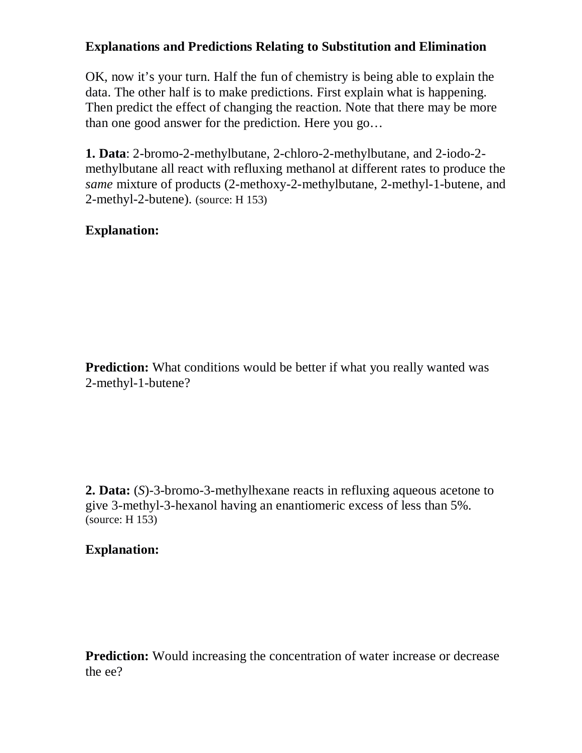### **Explanations and Predictions Relating to Substitution and Elimination**

OK, now it's your turn. Half the fun of chemistry is being able to explain the data. The other half is to make predictions. First explain what is happening. Then predict the effect of changing the reaction. Note that there may be more than one good answer for the prediction. Here you go…

**1. Data**: 2-bromo-2-methylbutane, 2-chloro-2-methylbutane, and 2-iodo-2 methylbutane all react with refluxing methanol at different rates to produce the *same* mixture of products (2-methoxy-2-methylbutane, 2-methyl-1-butene, and 2-methyl-2-butene). (source: H 153)

# **Explanation:**

**Prediction:** What conditions would be better if what you really wanted was 2-methyl-1-butene?

**2. Data:** (*S*)-3-bromo-3-methylhexane reacts in refluxing aqueous acetone to give 3-methyl-3-hexanol having an enantiomeric excess of less than 5%. (source: H 153)

#### **Explanation:**

**Prediction:** Would increasing the concentration of water increase or decrease the ee?